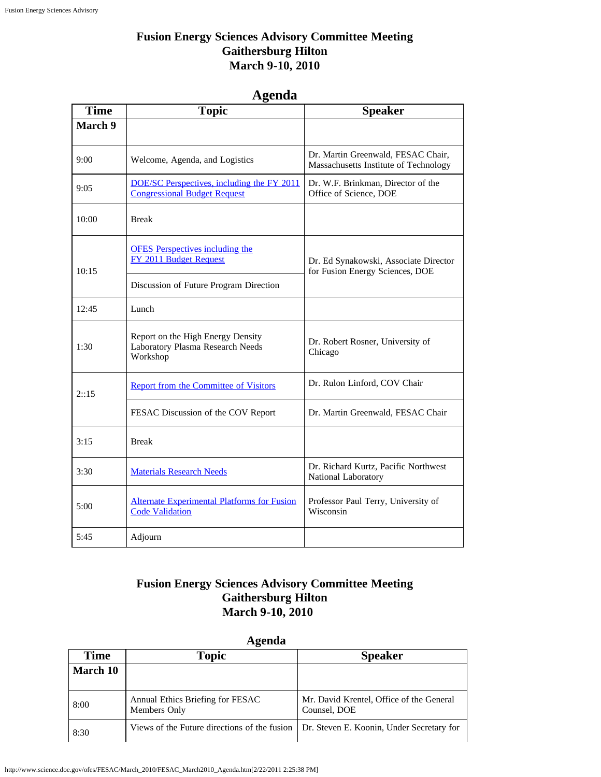#### **Fusion Energy Sciences Advisory Committee Meeting Gaithersburg Hilton March 9-10, 2010**

## **Agenda**

| <b>Time</b> | <b>Topic</b>                                                                      | <b>Speaker</b>                                                              |
|-------------|-----------------------------------------------------------------------------------|-----------------------------------------------------------------------------|
| March 9     |                                                                                   |                                                                             |
| 9:00        | Welcome, Agenda, and Logistics                                                    | Dr. Martin Greenwald, FESAC Chair,<br>Massachusetts Institute of Technology |
| 9:05        | DOE/SC Perspectives, including the FY 2011<br><b>Congressional Budget Request</b> | Dr. W.F. Brinkman, Director of the<br>Office of Science, DOE                |
| 10:00       | <b>Break</b>                                                                      |                                                                             |
| 10:15       | <b>OFES</b> Perspectives including the<br>FY 2011 Budget Request                  | Dr. Ed Synakowski, Associate Director<br>for Fusion Energy Sciences, DOE    |
|             | Discussion of Future Program Direction                                            |                                                                             |
| 12:45       | Lunch                                                                             |                                                                             |
| 1:30        | Report on the High Energy Density<br>Laboratory Plasma Research Needs<br>Workshop | Dr. Robert Rosner, University of<br>Chicago                                 |
| 2::15       | <b>Report from the Committee of Visitors</b>                                      | Dr. Rulon Linford, COV Chair                                                |
|             | FESAC Discussion of the COV Report                                                | Dr. Martin Greenwald, FESAC Chair                                           |
| 3:15        | <b>Break</b>                                                                      |                                                                             |
| 3:30        | <b>Materials Research Needs</b>                                                   | Dr. Richard Kurtz, Pacific Northwest<br>National Laboratory                 |
| 5:00        | <b>Alternate Experimental Platforms for Fusion</b><br><b>Code Validation</b>      | Professor Paul Terry, University of<br>Wisconsin                            |
| 5:45        | Adjourn                                                                           |                                                                             |

#### **Fusion Energy Sciences Advisory Committee Meeting Gaithersburg Hilton March 9-10, 2010**

# **Agenda**

| $1 - 1$  |                                                  |                                                          |  |
|----------|--------------------------------------------------|----------------------------------------------------------|--|
| Time     | <b>Topic</b>                                     | <b>Speaker</b>                                           |  |
| March 10 |                                                  |                                                          |  |
| 8:00     | Annual Ethics Briefing for FESAC<br>Members Only | Mr. David Krentel, Office of the General<br>Counsel, DOE |  |
| 8:30     | Views of the Future directions of the fusion     | Dr. Steven E. Koonin, Under Secretary for                |  |